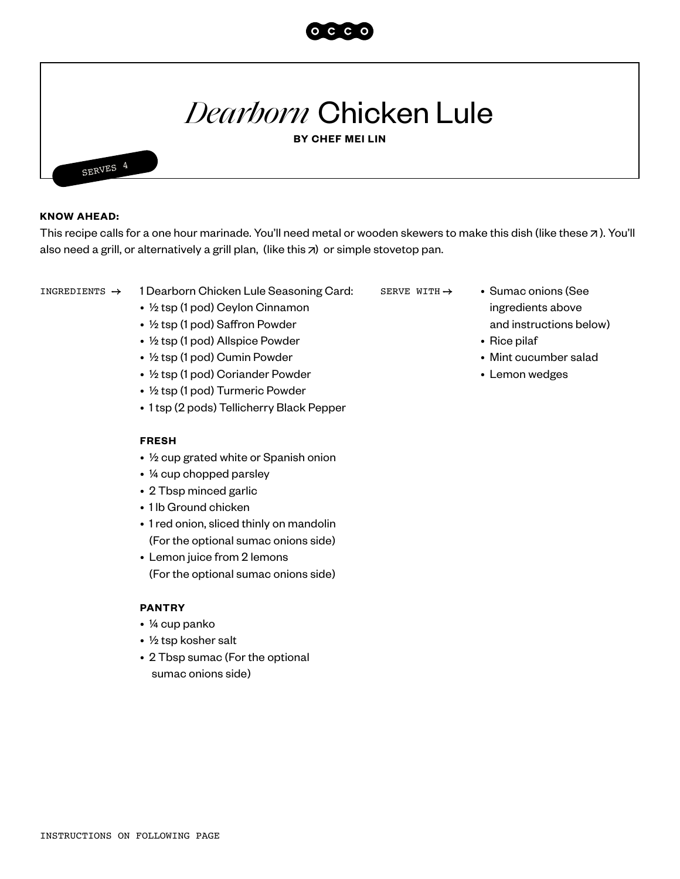

## *Dearborn* Chicken Lule

**BY CHEF MEI LIN**



SERVES 4

This recipe calls for a one hour marinade. You'll need metal or wooden skewers to make this dish (like these  $\pi$ ). You'll also need a grill, or alternatively a grill plan, (like this  $\pi$ ) or simple stovetop pan.

- INGREDIENTS  $\rightarrow$  1 Dearborn Chicken Lule Seasoning Card: SERVE WITH  $\rightarrow$  . Sumac onions (See
	- ½ tsp (1 pod) Ceylon Cinnamon
	- ½ tsp (1 pod) Saffron Powder
	- ½ tsp (1 pod) Allspice Powder
	- ½ tsp (1 pod) Cumin Powder
	- ½ tsp (1 pod) Coriander Powder
	- ½ tsp (1 pod) Turmeric Powder
	- 1 tsp (2 pods) Tellicherry Black Pepper

## **FRESH**

- ½ cup grated white or Spanish onion
- ¼ cup chopped parsley
- 2 Tbsp minced garlic
- 1 lb Ground chicken
- 1 red onion, sliced thinly on mandolin (For the optional sumac onions side)
- Lemon juice from 2 lemons (For the optional sumac onions side)

## **PANTRY**

- ¼ cup panko
- ½ tsp kosher salt
- 2 Tbsp sumac (For the optional sumac onions side)
- SERVE WITH  $\rightarrow$ 
	- ingredients above and instructions below)
	- Rice pilaf
	- Mint cucumber salad
	- Lemon wedges